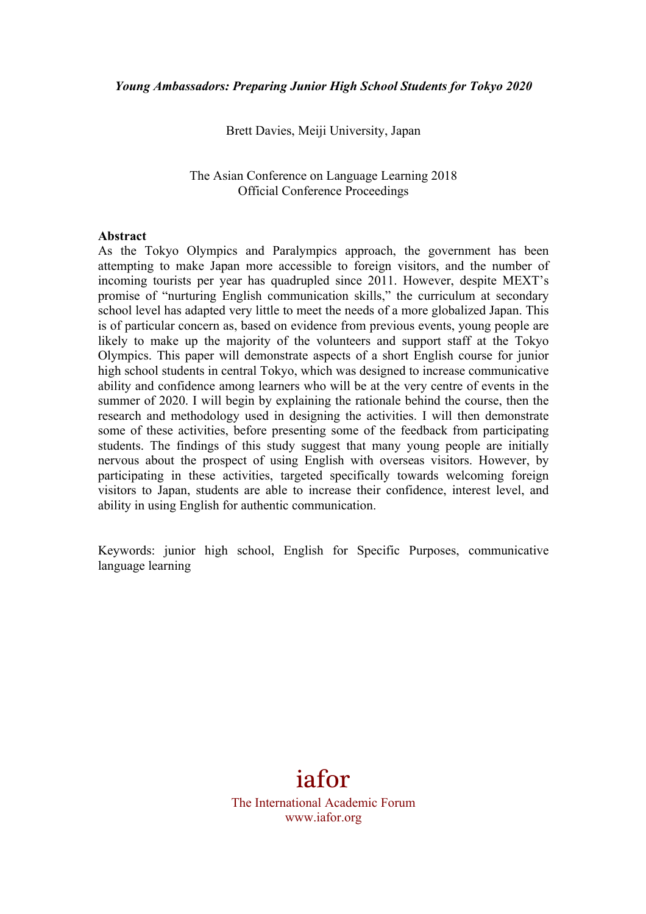Brett Davies, Meiji University, Japan

The Asian Conference on Language Learning 2018 Official Conference Proceedings

### **Abstract**

As the Tokyo Olympics and Paralympics approach, the government has been attempting to make Japan more accessible to foreign visitors, and the number of incoming tourists per year has quadrupled since 2011. However, despite MEXT's promise of "nurturing English communication skills," the curriculum at secondary school level has adapted very little to meet the needs of a more globalized Japan. This is of particular concern as, based on evidence from previous events, young people are likely to make up the majority of the volunteers and support staff at the Tokyo Olympics. This paper will demonstrate aspects of a short English course for junior high school students in central Tokyo, which was designed to increase communicative ability and confidence among learners who will be at the very centre of events in the summer of 2020. I will begin by explaining the rationale behind the course, then the research and methodology used in designing the activities. I will then demonstrate some of these activities, before presenting some of the feedback from participating students. The findings of this study suggest that many young people are initially nervous about the prospect of using English with overseas visitors. However, by participating in these activities, targeted specifically towards welcoming foreign visitors to Japan, students are able to increase their confidence, interest level, and ability in using English for authentic communication.

Keywords: junior high school, English for Specific Purposes, communicative language learning

# iafor

The International Academic Forum www.iafor.org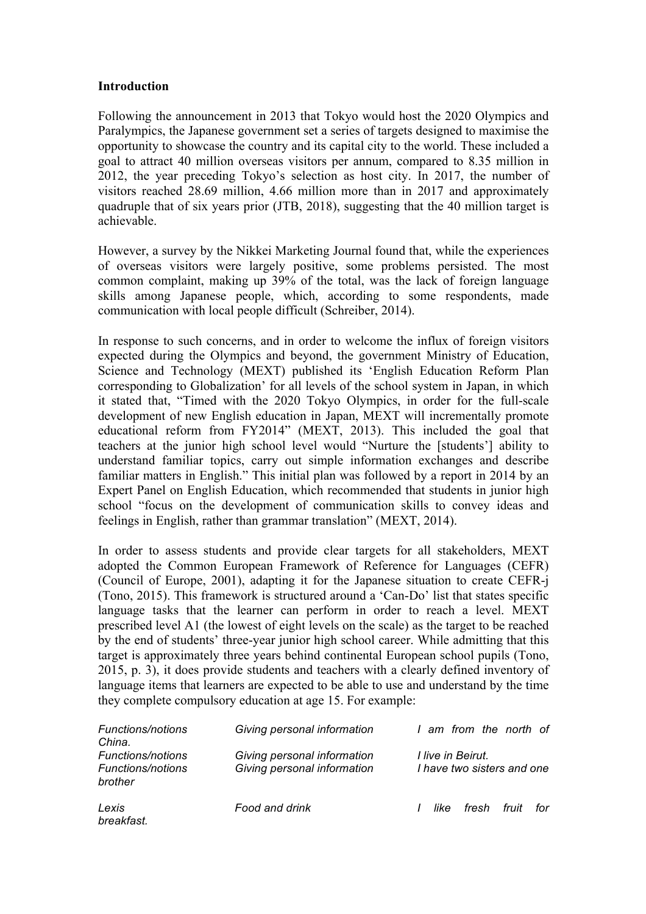# **Introduction**

Following the announcement in 2013 that Tokyo would host the 2020 Olympics and Paralympics, the Japanese government set a series of targets designed to maximise the opportunity to showcase the country and its capital city to the world. These included a goal to attract 40 million overseas visitors per annum, compared to 8.35 million in 2012, the year preceding Tokyo's selection as host city. In 2017, the number of visitors reached 28.69 million, 4.66 million more than in 2017 and approximately quadruple that of six years prior (JTB, 2018), suggesting that the 40 million target is achievable.

However, a survey by the Nikkei Marketing Journal found that, while the experiences of overseas visitors were largely positive, some problems persisted. The most common complaint, making up 39% of the total, was the lack of foreign language skills among Japanese people, which, according to some respondents, made communication with local people difficult (Schreiber, 2014).

In response to such concerns, and in order to welcome the influx of foreign visitors expected during the Olympics and beyond, the government Ministry of Education, Science and Technology (MEXT) published its 'English Education Reform Plan corresponding to Globalization' for all levels of the school system in Japan, in which it stated that, "Timed with the 2020 Tokyo Olympics, in order for the full-scale development of new English education in Japan, MEXT will incrementally promote educational reform from FY2014" (MEXT, 2013). This included the goal that teachers at the junior high school level would "Nurture the [students'] ability to understand familiar topics, carry out simple information exchanges and describe familiar matters in English." This initial plan was followed by a report in 2014 by an Expert Panel on English Education, which recommended that students in junior high school "focus on the development of communication skills to convey ideas and feelings in English, rather than grammar translation" (MEXT, 2014).

In order to assess students and provide clear targets for all stakeholders, MEXT adopted the Common European Framework of Reference for Languages (CEFR) (Council of Europe, 2001), adapting it for the Japanese situation to create CEFR-j (Tono, 2015). This framework is structured around a 'Can-Do' list that states specific language tasks that the learner can perform in order to reach a level. MEXT prescribed level A1 (the lowest of eight levels on the scale) as the target to be reached by the end of students' three-year junior high school career. While admitting that this target is approximately three years behind continental European school pupils (Tono, 2015, p. 3), it does provide students and teachers with a clearly defined inventory of language items that learners are expected to be able to use and understand by the time they complete compulsory education at age 15. For example:

| <b>Functions/notions</b><br>China.                              | Giving personal information                                | I am from the north of                                 |  |  |
|-----------------------------------------------------------------|------------------------------------------------------------|--------------------------------------------------------|--|--|
| <b>Functions/notions</b><br><b>Functions/notions</b><br>brother | Giving personal information<br>Giving personal information | <i>I live in Beirut.</i><br>I have two sisters and one |  |  |
| Lexis<br>breakfast.                                             | Food and drink                                             | fresh<br>fruit<br>for<br>like<br>1                     |  |  |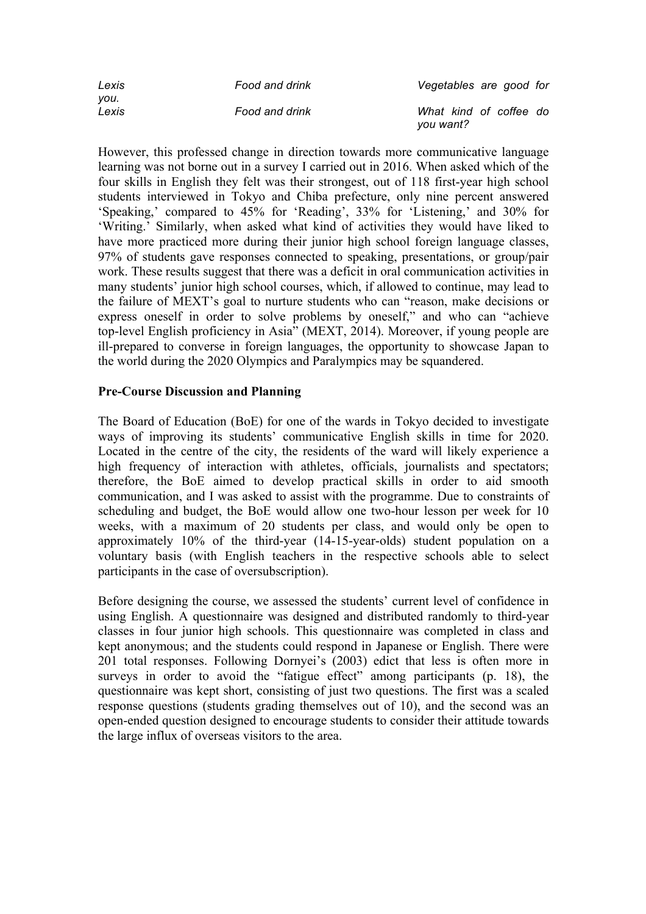| Lexis         | Food and drink | Vegetables are good for             |  |  |
|---------------|----------------|-------------------------------------|--|--|
| vou.<br>Lexis | Food and drink | What kind of coffee do<br>you want? |  |  |

However, this professed change in direction towards more communicative language learning was not borne out in a survey I carried out in 2016. When asked which of the four skills in English they felt was their strongest, out of 118 first-year high school students interviewed in Tokyo and Chiba prefecture, only nine percent answered 'Speaking,' compared to 45% for 'Reading', 33% for 'Listening,' and 30% for 'Writing.' Similarly, when asked what kind of activities they would have liked to have more practiced more during their junior high school foreign language classes, 97% of students gave responses connected to speaking, presentations, or group/pair work. These results suggest that there was a deficit in oral communication activities in many students' junior high school courses, which, if allowed to continue, may lead to the failure of MEXT's goal to nurture students who can "reason, make decisions or express oneself in order to solve problems by oneself," and who can "achieve top-level English proficiency in Asia" (MEXT, 2014). Moreover, if young people are ill-prepared to converse in foreign languages, the opportunity to showcase Japan to the world during the 2020 Olympics and Paralympics may be squandered.

# **Pre-Course Discussion and Planning**

The Board of Education (BoE) for one of the wards in Tokyo decided to investigate ways of improving its students' communicative English skills in time for 2020. Located in the centre of the city, the residents of the ward will likely experience a high frequency of interaction with athletes, officials, journalists and spectators; therefore, the BoE aimed to develop practical skills in order to aid smooth communication, and I was asked to assist with the programme. Due to constraints of scheduling and budget, the BoE would allow one two-hour lesson per week for 10 weeks, with a maximum of 20 students per class, and would only be open to approximately 10% of the third-year (14-15-year-olds) student population on a voluntary basis (with English teachers in the respective schools able to select participants in the case of oversubscription).

Before designing the course, we assessed the students' current level of confidence in using English. A questionnaire was designed and distributed randomly to third-year classes in four junior high schools. This questionnaire was completed in class and kept anonymous; and the students could respond in Japanese or English. There were 201 total responses. Following Dornyei's (2003) edict that less is often more in surveys in order to avoid the "fatigue effect" among participants (p. 18), the questionnaire was kept short, consisting of just two questions. The first was a scaled response questions (students grading themselves out of 10), and the second was an open-ended question designed to encourage students to consider their attitude towards the large influx of overseas visitors to the area.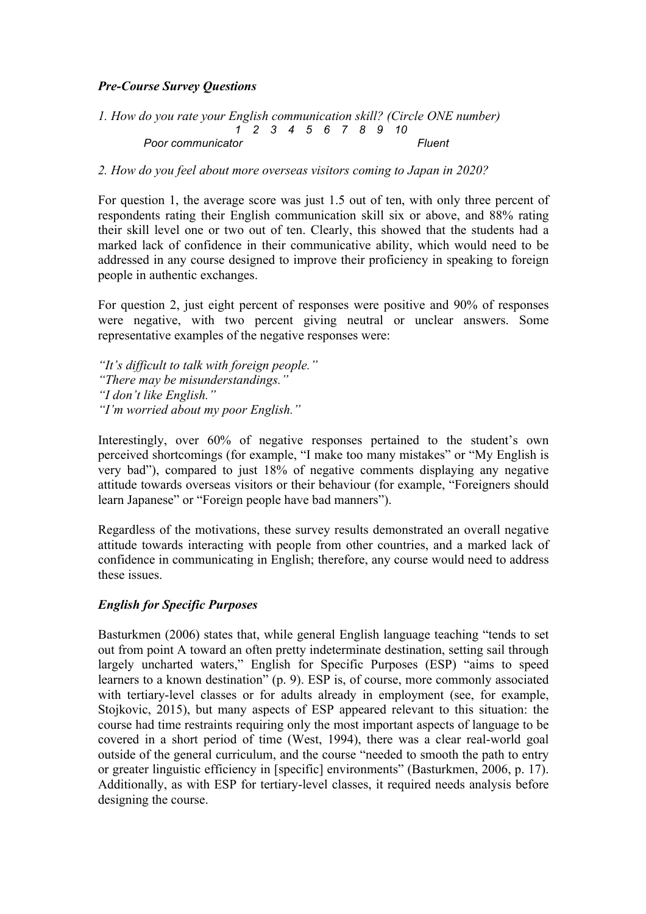# *Pre-Course Survey Questions*

*1. How do you rate your English communication skill? (Circle ONE number) 1 2 3 4 5 6 7 8 9 10*  Poor communicator expansion of the *Poor communicator* and the *Fluent* 

# *2. How do you feel about more overseas visitors coming to Japan in 2020?*

For question 1, the average score was just 1.5 out of ten, with only three percent of respondents rating their English communication skill six or above, and 88% rating their skill level one or two out of ten. Clearly, this showed that the students had a marked lack of confidence in their communicative ability, which would need to be addressed in any course designed to improve their proficiency in speaking to foreign people in authentic exchanges.

For question 2, just eight percent of responses were positive and 90% of responses were negative, with two percent giving neutral or unclear answers. Some representative examples of the negative responses were:

*"It's difficult to talk with foreign people." "There may be misunderstandings." "I don't like English." "I'm worried about my poor English."*

Interestingly, over 60% of negative responses pertained to the student's own perceived shortcomings (for example, "I make too many mistakes" or "My English is very bad"), compared to just 18% of negative comments displaying any negative attitude towards overseas visitors or their behaviour (for example, "Foreigners should learn Japanese" or "Foreign people have bad manners").

Regardless of the motivations, these survey results demonstrated an overall negative attitude towards interacting with people from other countries, and a marked lack of confidence in communicating in English; therefore, any course would need to address these issues.

# *English for Specific Purposes*

Basturkmen (2006) states that, while general English language teaching "tends to set out from point A toward an often pretty indeterminate destination, setting sail through largely uncharted waters," English for Specific Purposes (ESP) "aims to speed learners to a known destination" (p. 9). ESP is, of course, more commonly associated with tertiary-level classes or for adults already in employment (see, for example, Stojkovic, 2015), but many aspects of ESP appeared relevant to this situation: the course had time restraints requiring only the most important aspects of language to be covered in a short period of time (West, 1994), there was a clear real-world goal outside of the general curriculum, and the course "needed to smooth the path to entry or greater linguistic efficiency in [specific] environments" (Basturkmen, 2006, p. 17). Additionally, as with ESP for tertiary-level classes, it required needs analysis before designing the course.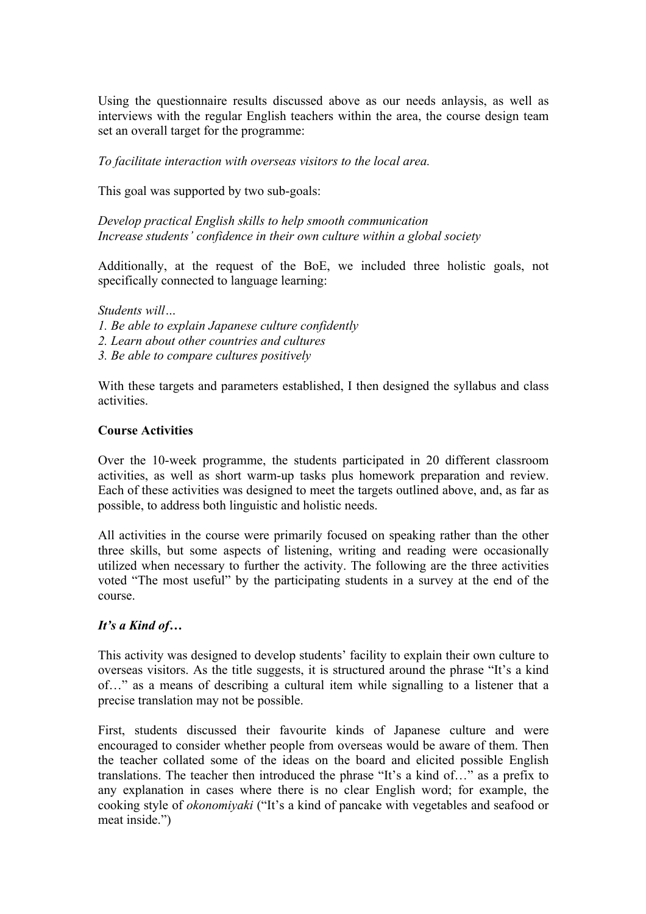Using the questionnaire results discussed above as our needs anlaysis, as well as interviews with the regular English teachers within the area, the course design team set an overall target for the programme:

*To facilitate interaction with overseas visitors to the local area.* 

This goal was supported by two sub-goals:

*Develop practical English skills to help smooth communication Increase students' confidence in their own culture within a global society*

Additionally, at the request of the BoE, we included three holistic goals, not specifically connected to language learning:

#### *Students will…*

- *1. Be able to explain Japanese culture confidently*
- *2. Learn about other countries and cultures*
- *3. Be able to compare cultures positively*

With these targets and parameters established, I then designed the syllabus and class activities.

#### **Course Activities**

Over the 10-week programme, the students participated in 20 different classroom activities, as well as short warm-up tasks plus homework preparation and review. Each of these activities was designed to meet the targets outlined above, and, as far as possible, to address both linguistic and holistic needs.

All activities in the course were primarily focused on speaking rather than the other three skills, but some aspects of listening, writing and reading were occasionally utilized when necessary to further the activity. The following are the three activities voted "The most useful" by the participating students in a survey at the end of the course.

### *It's a Kind of…*

This activity was designed to develop students' facility to explain their own culture to overseas visitors. As the title suggests, it is structured around the phrase "It's a kind of…" as a means of describing a cultural item while signalling to a listener that a precise translation may not be possible.

First, students discussed their favourite kinds of Japanese culture and were encouraged to consider whether people from overseas would be aware of them. Then the teacher collated some of the ideas on the board and elicited possible English translations. The teacher then introduced the phrase "It's a kind of…" as a prefix to any explanation in cases where there is no clear English word; for example, the cooking style of *okonomiyaki* ("It's a kind of pancake with vegetables and seafood or meat inside.")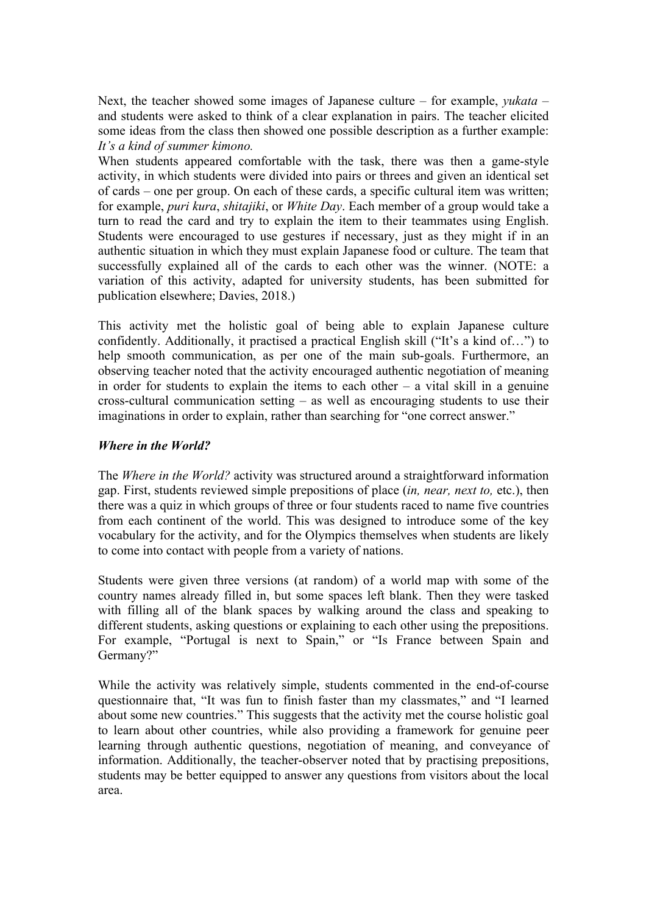Next, the teacher showed some images of Japanese culture – for example, *yukata* – and students were asked to think of a clear explanation in pairs. The teacher elicited some ideas from the class then showed one possible description as a further example: *It's a kind of summer kimono.*

When students appeared comfortable with the task, there was then a game-style activity, in which students were divided into pairs or threes and given an identical set of cards – one per group. On each of these cards, a specific cultural item was written; for example, *puri kura*, *shitajiki*, or *White Day*. Each member of a group would take a turn to read the card and try to explain the item to their teammates using English. Students were encouraged to use gestures if necessary, just as they might if in an authentic situation in which they must explain Japanese food or culture. The team that successfully explained all of the cards to each other was the winner. (NOTE: a variation of this activity, adapted for university students, has been submitted for publication elsewhere; Davies, 2018.)

This activity met the holistic goal of being able to explain Japanese culture confidently. Additionally, it practised a practical English skill ("It's a kind of…") to help smooth communication, as per one of the main sub-goals. Furthermore, an observing teacher noted that the activity encouraged authentic negotiation of meaning in order for students to explain the items to each other  $-$  a vital skill in a genuine cross-cultural communication setting – as well as encouraging students to use their imaginations in order to explain, rather than searching for "one correct answer."

# *Where in the World?*

The *Where in the World?* activity was structured around a straightforward information gap. First, students reviewed simple prepositions of place (*in, near, next to,* etc.), then there was a quiz in which groups of three or four students raced to name five countries from each continent of the world. This was designed to introduce some of the key vocabulary for the activity, and for the Olympics themselves when students are likely to come into contact with people from a variety of nations.

Students were given three versions (at random) of a world map with some of the country names already filled in, but some spaces left blank. Then they were tasked with filling all of the blank spaces by walking around the class and speaking to different students, asking questions or explaining to each other using the prepositions. For example, "Portugal is next to Spain," or "Is France between Spain and Germany?"

While the activity was relatively simple, students commented in the end-of-course questionnaire that, "It was fun to finish faster than my classmates," and "I learned about some new countries." This suggests that the activity met the course holistic goal to learn about other countries, while also providing a framework for genuine peer learning through authentic questions, negotiation of meaning, and conveyance of information. Additionally, the teacher-observer noted that by practising prepositions, students may be better equipped to answer any questions from visitors about the local area.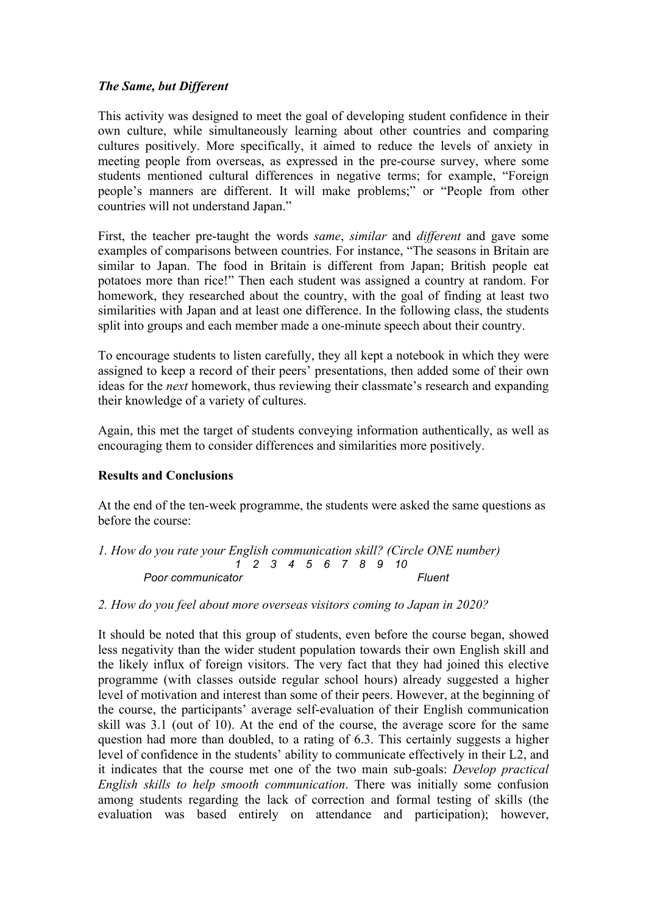# *The Same, but Different*

This activity was designed to meet the goal of developing student confidence in their own culture, while simultaneously learning about other countries and comparing cultures positively. More specifically, it aimed to reduce the levels of anxiety in meeting people from overseas, as expressed in the pre-course survey, where some students mentioned cultural differences in negative terms; for example, "Foreign people's manners are different. It will make problems;" or "People from other countries will not understand Japan."

First, the teacher pre-taught the words *same*, *similar* and *different* and gave some examples of comparisons between countries. For instance, "The seasons in Britain are similar to Japan. The food in Britain is different from Japan; British people eat potatoes more than rice!" Then each student was assigned a country at random. For homework, they researched about the country, with the goal of finding at least two similarities with Japan and at least one difference. In the following class, the students split into groups and each member made a one-minute speech about their country.

To encourage students to listen carefully, they all kept a notebook in which they were assigned to keep a record of their peers' presentations, then added some of their own ideas for the *next* homework, thus reviewing their classmate's research and expanding their knowledge of a variety of cultures.

Again, this met the target of students conveying information authentically, as well as encouraging them to consider differences and similarities more positively.

# **Results and Conclusions**

At the end of the ten-week programme, the students were asked the same questions as before the course:

*1. How do you rate your English communication skill? (Circle ONE number) 1 2 3 4 5 6 7 8 9 10*  **Poor communicator** Fluent

*2. How do you feel about more overseas visitors coming to Japan in 2020?*

It should be noted that this group of students, even before the course began, showed less negativity than the wider student population towards their own English skill and the likely influx of foreign visitors. The very fact that they had joined this elective programme (with classes outside regular school hours) already suggested a higher level of motivation and interest than some of their peers. However, at the beginning of the course, the participants' average self-evaluation of their English communication skill was 3.1 (out of 10). At the end of the course, the average score for the same question had more than doubled, to a rating of 6.3. This certainly suggests a higher level of confidence in the students' ability to communicate effectively in their L2, and it indicates that the course met one of the two main sub-goals: *Develop practical English skills to help smooth communication*. There was initially some confusion among students regarding the lack of correction and formal testing of skills (the evaluation was based entirely on attendance and participation); however,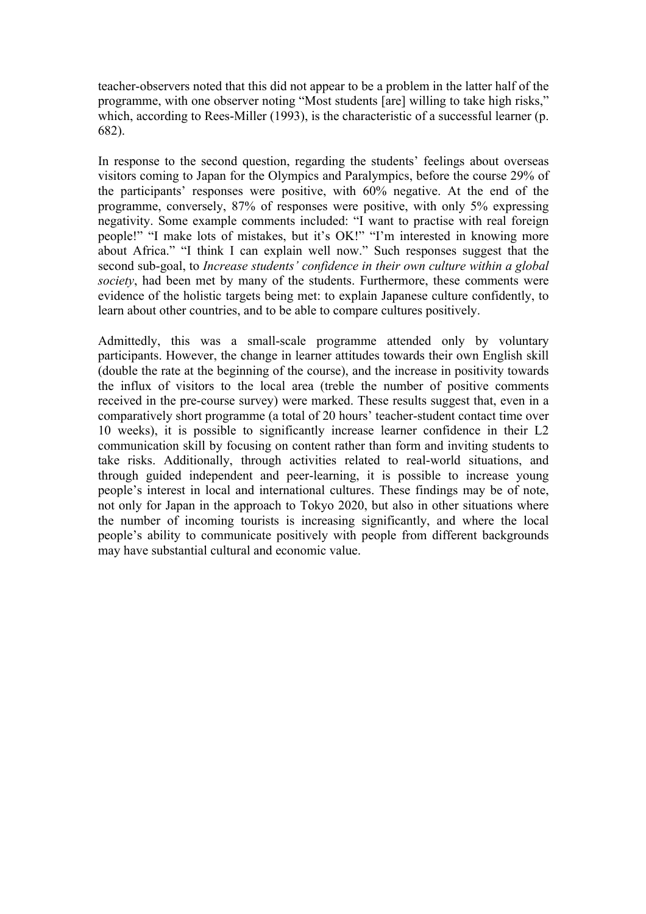teacher-observers noted that this did not appear to be a problem in the latter half of the programme, with one observer noting "Most students [are] willing to take high risks," which, according to Rees-Miller (1993), is the characteristic of a successful learner (p. 682).

In response to the second question, regarding the students' feelings about overseas visitors coming to Japan for the Olympics and Paralympics, before the course 29% of the participants' responses were positive, with 60% negative. At the end of the programme, conversely, 87% of responses were positive, with only 5% expressing negativity. Some example comments included: "I want to practise with real foreign people!" "I make lots of mistakes, but it's OK!" "I'm interested in knowing more about Africa." "I think I can explain well now." Such responses suggest that the second sub-goal, to *Increase students' confidence in their own culture within a global society*, had been met by many of the students. Furthermore, these comments were evidence of the holistic targets being met: to explain Japanese culture confidently, to learn about other countries, and to be able to compare cultures positively.

Admittedly, this was a small-scale programme attended only by voluntary participants. However, the change in learner attitudes towards their own English skill (double the rate at the beginning of the course), and the increase in positivity towards the influx of visitors to the local area (treble the number of positive comments received in the pre-course survey) were marked. These results suggest that, even in a comparatively short programme (a total of 20 hours' teacher-student contact time over 10 weeks), it is possible to significantly increase learner confidence in their L2 communication skill by focusing on content rather than form and inviting students to take risks. Additionally, through activities related to real-world situations, and through guided independent and peer-learning, it is possible to increase young people's interest in local and international cultures. These findings may be of note, not only for Japan in the approach to Tokyo 2020, but also in other situations where the number of incoming tourists is increasing significantly, and where the local people's ability to communicate positively with people from different backgrounds may have substantial cultural and economic value.